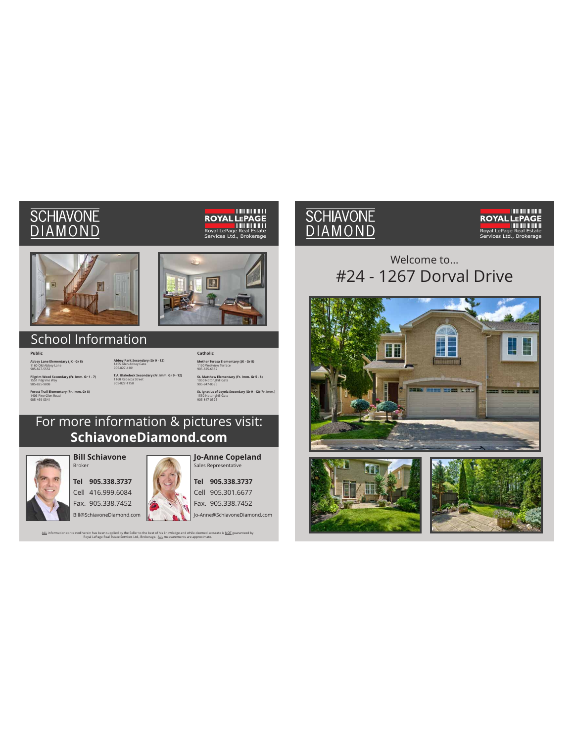# **SCHIAVONE**<br>**DIAMOND**

# **ROYAL LEPAGE**<br>ROYAL LEPAGE<br>Royal LePage Real Estate Ltd., Bro





# School Information

**Public Abbey Lane Elementary (JK - Gr 8)**  1160 Old Abbey Lane 905-827-5552 **Pilgrim Wood Secondary (Fr. Imm. Gr 1 - 7)** 1551 Pilgrims Way 905-825-9808 **Forest Trail Elementary (Fr. Imm. Gr 8)**<br>1406 Pine Glen Road<br>905-469-0341

**Abbey Park Secondary (Gr 9 - 12)** 1455 Glen Abbey Gate 905-827-4101 **T.A. Blakelock Secondary (Fr. Imm. Gr 9 - 12)** 1160 Rebecca Street 905-827-1158

**Catholic Mother Teresa Elementary (JK - Gr 8)**<br>1190 Westview Terrace<br>905-825-6382 **St. Matthew Elementary (Fr. Imm. Gr 5 - 8)** 1050 Nottinghill Gate 905-847-0595 **St. Ignatius of Loyola Secondary (Gr 9 - 12) (Fr. Imm.)**<br>1550 Nottinghill Gate<br>905-847-0595

For more information & pictures visit: **SchiavoneDiamond.com**

<u>ALL</u> information contained herein has been supplied by the Seller to the best of his knowledge and while deemed accurate is <u>NOT</u> guaranteed by<br>Royal LePage Real Estate Services Ltd., Brokerage. <u>ALL</u> measurements are ap



**Bill Schiavone** Broker

**Tel 905.338.3737** Cell 416.999.6084 Fax. 905.338.7452



**Jo-Anne Copeland** Sales Representative

**Tel 905.338.3737** Cell 905.301.6677 Fax. 905.338.7452

Jo-Anne@SchiavoneDiamond.com

# SCHIAVONE<br>DIAMOND

# **ROYAL LEPAGE**<br>ROYAL LEPAGE Services Ltd., Brokerage

# Welcome to... #24 - 1267 Dorval Drive





Bill@SchiavoneDiamond.com